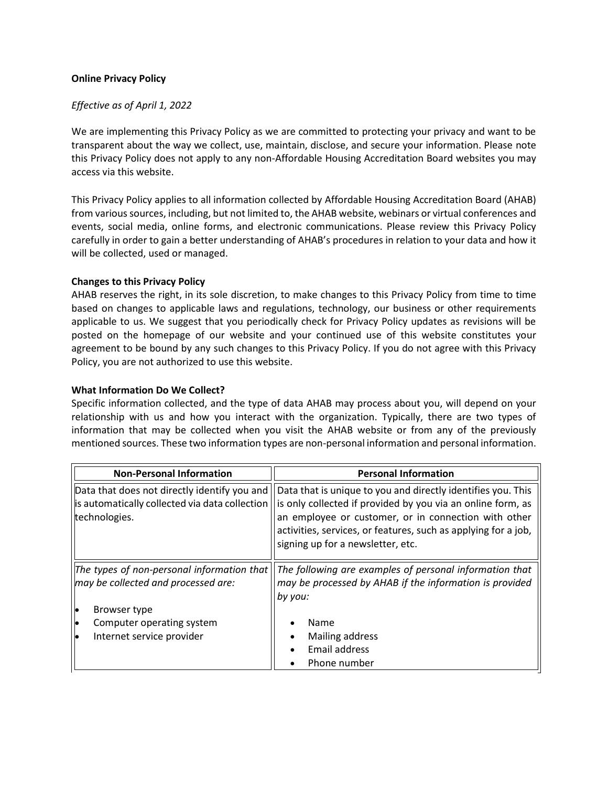# **Online Privacy Policy**

#### *Effective as of April 1, 2022*

We are implementing this Privacy Policy as we are committed to protecting your privacy and want to be transparent about the way we collect, use, maintain, disclose, and secure your information. Please note this Privacy Policy does not apply to any non-Affordable Housing Accreditation Board websites you may access via this website.

This Privacy Policy applies to all information collected by Affordable Housing Accreditation Board (AHAB) from various sources, including, but not limited to, the AHAB website, webinars or virtual conferences and events, social media, online forms, and electronic communications. Please review this Privacy Policy carefully in order to gain a better understanding of AHAB's procedures in relation to your data and how it will be collected, used or managed.

#### **Changes to this Privacy Policy**

AHAB reserves the right, in its sole discretion, to make changes to this Privacy Policy from time to time based on changes to applicable laws and regulations, technology, our business or other requirements applicable to us. We suggest that you periodically check for Privacy Policy updates as revisions will be posted on the homepage of our website and your continued use of this website constitutes your agreement to be bound by any such changes to this Privacy Policy. If you do not agree with this Privacy Policy, you are not authorized to use this website.

#### **What Information Do We Collect?**

Specific information collected, and the type of data AHAB may process about you, will depend on your relationship with us and how you interact with the organization. Typically, there are two types of information that may be collected when you visit the AHAB website or from any of the previously mentioned sources. These two information types are non-personal information and personal information.

| <b>Non-Personal Information</b>                                                                                 | <b>Personal Information</b>                                                                                                                                                                                                                                                                |
|-----------------------------------------------------------------------------------------------------------------|--------------------------------------------------------------------------------------------------------------------------------------------------------------------------------------------------------------------------------------------------------------------------------------------|
| Data that does not directly identify you and<br>is automatically collected via data collection<br>technologies. | Data that is unique to you and directly identifies you. This<br>is only collected if provided by you via an online form, as<br>an employee or customer, or in connection with other<br>activities, services, or features, such as applying for a job,<br>signing up for a newsletter, etc. |
| The types of non-personal information that<br>may be collected and processed are:                               | The following are examples of personal information that<br>may be processed by AHAB if the information is provided<br>by you:                                                                                                                                                              |
| le<br>Browser type<br>Computer operating system<br>þ                                                            | Name                                                                                                                                                                                                                                                                                       |
| Internet service provider<br>le                                                                                 | Mailing address<br>Email address<br>Phone number                                                                                                                                                                                                                                           |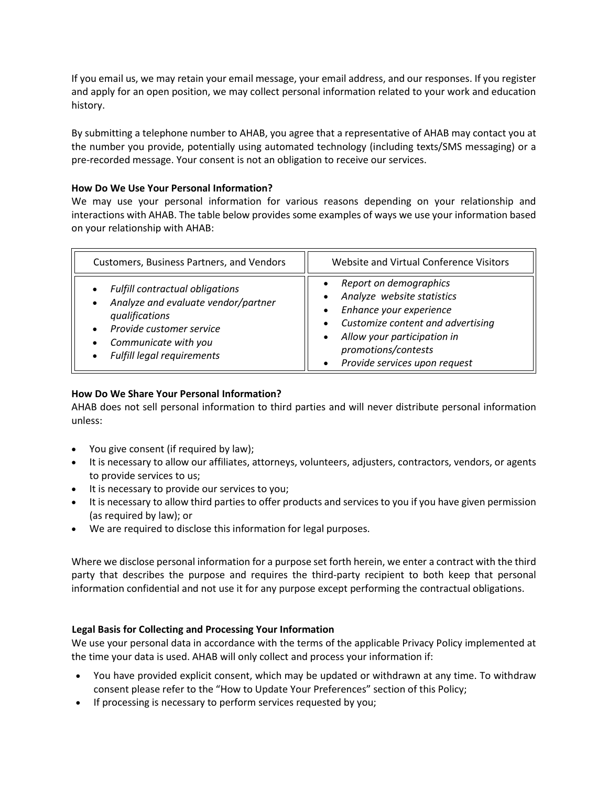If you email us, we may retain your email message, your email address, and our responses. If you register and apply for an open position, we may collect personal information related to your work and education history.

By submitting a telephone number to AHAB, you agree that a representative of AHAB may contact you at the number you provide, potentially using automated technology (including texts/SMS messaging) or a pre-recorded message. Your consent is not an obligation to receive our services.

# **How Do We Use Your Personal Information?**

We may use your personal information for various reasons depending on your relationship and interactions with AHAB. The table below provides some examples of ways we use your information based on your relationship with AHAB:

| <b>Customers, Business Partners, and Vendors</b>                                                                                                                                         | Website and Virtual Conference Visitors                                                                                                                                                                     |
|------------------------------------------------------------------------------------------------------------------------------------------------------------------------------------------|-------------------------------------------------------------------------------------------------------------------------------------------------------------------------------------------------------------|
| <b>Fulfill contractual obligations</b><br>Analyze and evaluate vendor/partner<br>qualifications<br>Provide customer service<br>Communicate with you<br><b>Fulfill legal requirements</b> | Report on demographics<br>Analyze website statistics<br>Enhance your experience<br>Customize content and advertising<br>Allow your participation in<br>promotions/contests<br>Provide services upon request |

# **How Do We Share Your Personal Information?**

AHAB does not sell personal information to third parties and will never distribute personal information unless:

- You give consent (if required by law);
- It is necessary to allow our affiliates, attorneys, volunteers, adjusters, contractors, vendors, or agents to provide services to us;
- It is necessary to provide our services to you;
- It is necessary to allow third parties to offer products and services to you if you have given permission (as required by law); or
- We are required to disclose this information for legal purposes.

Where we disclose personal information for a purpose set forth herein, we enter a contract with the third party that describes the purpose and requires the third-party recipient to both keep that personal information confidential and not use it for any purpose except performing the contractual obligations.

# **Legal Basis for Collecting and Processing Your Information**

We use your personal data in accordance with the terms of the applicable Privacy Policy implemented at the time your data is used. AHAB will only collect and process your information if:

- You have provided explicit consent, which may be updated or withdrawn at any time. To withdraw consent please refer to the "How to Update Your Preferences" section of this Policy;
- If processing is necessary to perform services requested by you;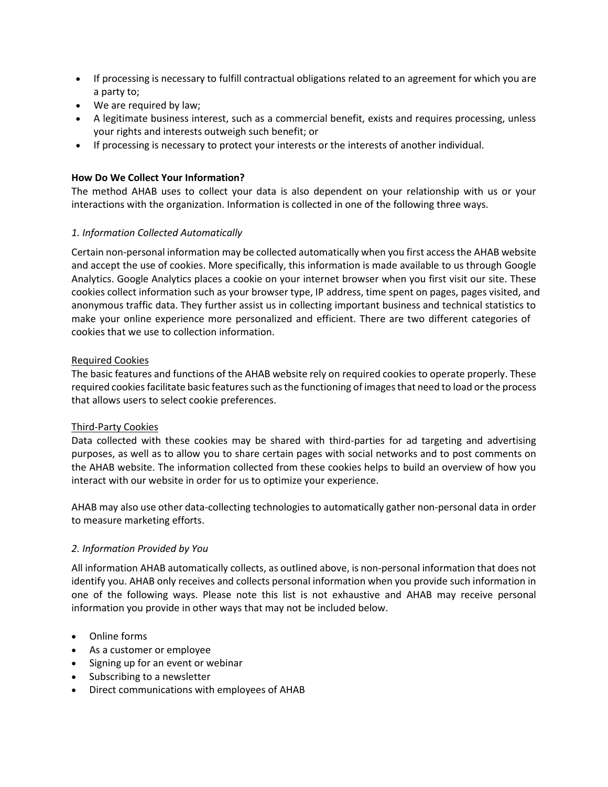- If processing is necessary to fulfill contractual obligations related to an agreement for which you are a party to;
- We are required by law;
- A legitimate business interest, such as a commercial benefit, exists and requires processing, unless your rights and interests outweigh such benefit; or
- If processing is necessary to protect your interests or the interests of another individual.

# **How Do We Collect Your Information?**

The method AHAB uses to collect your data is also dependent on your relationship with us or your interactions with the organization. Information is collected in one of the following three ways.

# *1. Information Collected Automatically*

Certain non-personal information may be collected automatically when you first access the AHAB website and accept the use of cookies. More specifically, this information is made available to us through Google Analytics. Google Analytics places a cookie on your internet browser when you first visit our site. These cookies collect information such as your browser type, IP address, time spent on pages, pages visited, and anonymous traffic data. They further assist us in collecting important business and technical statistics to make your online experience more personalized and efficient. There are two different categories of cookies that we use to collection information.

# Required Cookies

The basic features and functions of the AHAB website rely on required cookies to operate properly. These required cookies facilitate basic features such as the functioning of images that need to load or the process that allows users to select cookie preferences.

# Third-Party Cookies

Data collected with these cookies may be shared with third-parties for ad targeting and advertising purposes, as well as to allow you to share certain pages with social networks and to post comments on the AHAB website. The information collected from these cookies helps to build an overview of how you interact with our website in order for us to optimize your experience.

AHAB may also use other data-collecting technologies to automatically gather non-personal data in order to measure marketing efforts.

# *2. Information Provided by You*

All information AHAB automatically collects, as outlined above, is non-personal information that does not identify you. AHAB only receives and collects personal information when you provide such information in one of the following ways. Please note this list is not exhaustive and AHAB may receive personal information you provide in other ways that may not be included below.

- Online forms
- As a customer or employee
- Signing up for an event or webinar
- Subscribing to a newsletter
- Direct communications with employees of AHAB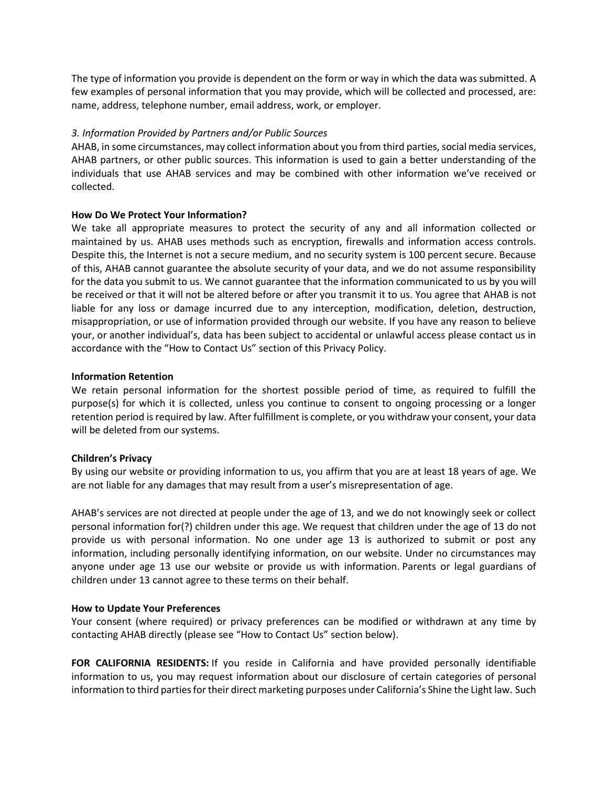The type of information you provide is dependent on the form or way in which the data was submitted. A few examples of personal information that you may provide, which will be collected and processed, are: name, address, telephone number, email address, work, or employer.

# *3. Information Provided by Partners and/or Public Sources*

AHAB, in some circumstances, may collect information about you from third parties, social media services, AHAB partners, or other public sources. This information is used to gain a better understanding of the individuals that use AHAB services and may be combined with other information we've received or collected.

#### **How Do We Protect Your Information?**

We take all appropriate measures to protect the security of any and all information collected or maintained by us. AHAB uses methods such as encryption, firewalls and information access controls. Despite this, the Internet is not a secure medium, and no security system is 100 percent secure. Because of this, AHAB cannot guarantee the absolute security of your data, and we do not assume responsibility for the data you submit to us. We cannot guarantee that the information communicated to us by you will be received or that it will not be altered before or after you transmit it to us. You agree that AHAB is not liable for any loss or damage incurred due to any interception, modification, deletion, destruction, misappropriation, or use of information provided through our website. If you have any reason to believe your, or another individual's, data has been subject to accidental or unlawful access please contact us in accordance with the "How to Contact Us" section of this Privacy Policy.

#### **Information Retention**

We retain personal information for the shortest possible period of time, as required to fulfill the purpose(s) for which it is collected, unless you continue to consent to ongoing processing or a longer retention period is required by law. After fulfillment is complete, or you withdraw your consent, your data will be deleted from our systems.

#### **Children's Privacy**

By using our website or providing information to us, you affirm that you are at least 18 years of age. We are not liable for any damages that may result from a user's misrepresentation of age.

AHAB's services are not directed at people under the age of 13, and we do not knowingly seek or collect personal information for(?) children under this age. We request that children under the age of 13 do not provide us with personal information. No one under age 13 is authorized to submit or post any information, including personally identifying information, on our website. Under no circumstances may anyone under age 13 use our website or provide us with information. Parents or legal guardians of children under 13 cannot agree to these terms on their behalf.

#### **How to Update Your Preferences**

Your consent (where required) or privacy preferences can be modified or withdrawn at any time by contacting AHAB directly (please see "How to Contact Us" section below).

**FOR CALIFORNIA RESIDENTS:** If you reside in California and have provided personally identifiable information to us, you may request information about our disclosure of certain categories of personal information to third parties for their direct marketing purposes under California's Shine the Light law. Such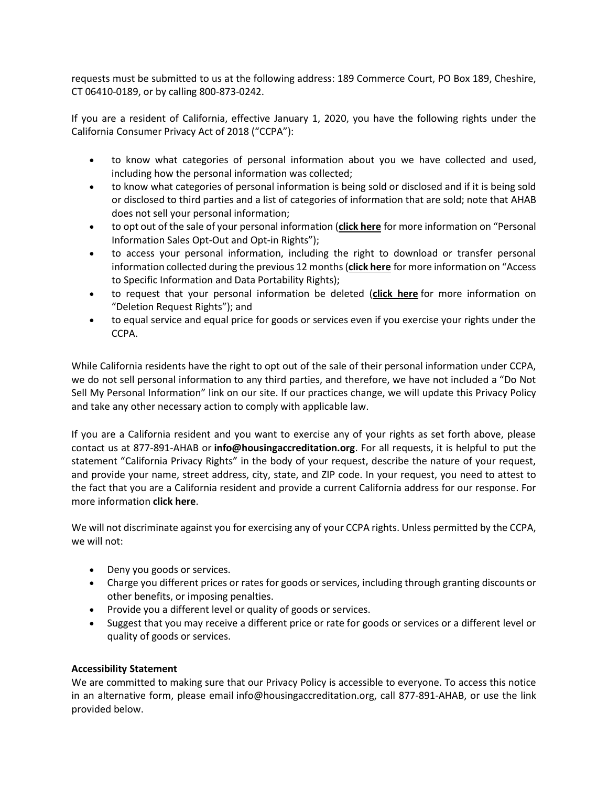requests must be submitted to us at the following address: 189 Commerce Court, PO Box 189, Cheshire, CT 06410-0189, or by calling 800-873-0242.

If you are a resident of California, effective January 1, 2020, you have the following rights under the California Consumer Privacy Act of 2018 ("CCPA"):

- to know what categories of personal information about you we have collected and used, including how the personal information was collected;
- to know what categories of personal information is being sold or disclosed and if it is being sold or disclosed to third parties and a list of categories of information that are sold; note that AHAB does not sell your personal information;
- to opt out of the sale of your personal information (**click [here](https://housingaccreditation.org/wp-content/uploads/2022/03/AHAB-California-Consumer-Privacy-Act-for-California-Residents-ADA.pdf)** for more information on "Personal Information Sales Opt-Out and Opt-in Rights");
- to access your personal information, including the right to download or transfer personal information collected during the previous 12 months (**click [here](https://housingaccreditation.org/wp-content/uploads/2022/03/AHAB-California-Consumer-Privacy-Act-for-California-Residents-ADA.pdf)** for more information on "Access to Specific Information and Data Portability Rights);
- to request that your personal information be deleted (**click [here](https://housingaccreditation.org/wp-content/uploads/2022/03/AHAB-California-Consumer-Privacy-Act-for-California-Residents-ADA.pdf)** for more information on "Deletion Request Rights"); and
- to equal service and equal price for goods or services even if you exercise your rights under the CCPA.

While California residents have the right to opt out of the sale of their personal information under CCPA, we do not sell personal information to any third parties, and therefore, we have not included a "Do Not Sell My Personal Information" link on our site. If our practices change, we will update this Privacy Policy and take any other necessary action to comply with applicable law.

If you are a California resident and you want to exercise any of your rights as set forth above, please contact us at 877-891-AHAB or **info@housingaccreditation.org**. For all requests, it is helpful to put the statement "California Privacy Rights" in the body of your request, describe the nature of your request, and provide your name, street address, city, state, and ZIP code. In your request, you need to attest to the fact that you are a California resident and provide a current California address for our response. For more information **click [here](https://housingaccreditation.org/wp-content/uploads/2022/03/AHAB-California-Consumer-Privacy-Act-for-California-Residents-ADA.pdf)**.

We will not discriminate against you for exercising any of your CCPA rights. Unless permitted by the CCPA, we will not:

- Deny you goods or services.
- Charge you different prices or rates for goods or services, including through granting discounts or other benefits, or imposing penalties.
- Provide you a different level or quality of goods or services.
- Suggest that you may receive a different price or rate for goods or services or a different level or quality of goods or services.

# **Accessibility Statement**

We are committed to making sure that our Privacy Policy is accessible to everyone. To access this notice in an alternative form, please email info@housingaccreditation.org, call 877-891-AHAB, or use the link provided below.